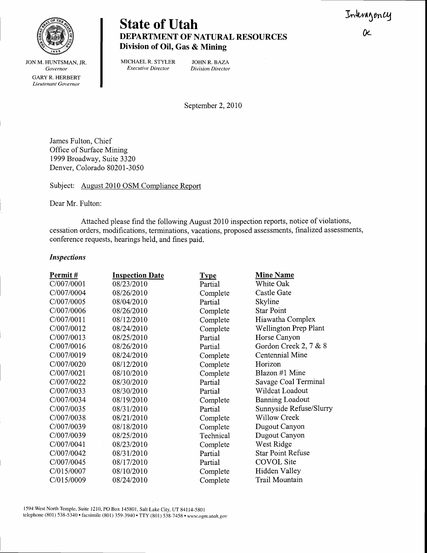**N** 



## State of Utah DEPARTMENT OF NATURAL RESOURCES Division of Oil, Gas & Mining

JON M. HUNTSMAN, JR. Governor GARY R. HERBERT Lieutenant Governor

MICHAEL R. STYLER JOHN R. BAZA<br>Executive Director Division Director Executive Director

September 2, 2010

James Fulton, Chief Office of Surface Mining 1999 Broadway, Suite 3320 Denver, Colorado 80201-3050

Subject: August 2010 OSM Compliance Report

Dear Mr. Fulton:

Attached please find the following August 2010 inspection reports, notice of violations, cessation orders, modifications, terminations, vacations, proposed assessments, finalized assessments, conference requests, hearings held, and fines paid.

## Inspections

| Permit#    | <b>Inspection Date</b> | <b>Type</b> | <b>Mine Name</b>             |
|------------|------------------------|-------------|------------------------------|
| C/007/0001 | 08/23/2010             | Partial     | White Oak                    |
| C/007/0004 | 08/26/2010             | Complete    | Castle Gate                  |
| C/007/0005 | 08/04/2010             | Partial     | Skyline                      |
| C/007/0006 | 08/26/2010             | Complete    | <b>Star Point</b>            |
| C/007/0011 | 08/12/2010             | Complete    | Hiawatha Complex             |
| C/007/0012 | 08/24/2010             | Complete    | <b>Wellington Prep Plant</b> |
| C/007/0013 | 08/25/2010             | Partial     | Horse Canyon                 |
| C/007/0016 | 08/26/2010             | Partial     | Gordon Creek 2, 7 & 8        |
| C/007/0019 | 08/24/2010             | Complete    | Centennial Mine              |
| C/007/0020 | 08/12/2010             | Complete    | Horizon                      |
| C/007/0021 | 08/10/2010             | Complete    | Blazon #1 Mine               |
| C/007/0022 | 08/30/2010             | Partial     | Savage Coal Terminal         |
| C/007/0033 | 08/30/2010             | Partial     | Wildcat Loadout              |
| C/007/0034 | 08/19/2010             | Complete    | <b>Banning Loadout</b>       |
| C/007/0035 | 08/31/2010             | Partial     | Sunnyside Refuse/Slurry      |
| C/007/0038 | 08/21/2010             | Complete    | <b>Willow Creek</b>          |
| C/007/0039 | 08/18/2010             | Complete    | Dugout Canyon                |
| C/007/0039 | 08/25/2010             | Technical   | Dugout Canyon                |
| C/007/0041 | 08/23/2010             | Complete    | West Ridge                   |
| C/007/0042 | 08/31/2010             | Partial     | <b>Star Point Refuse</b>     |
| C/007/0045 | 08/17/2010             | Partial     | <b>COVOL</b> Site            |
| C/015/0007 | 08/10/2010             | Complete    | Hidden Valley                |
| C/015/0009 | 08/24/2010             | Complete    | Trail Mountain               |

1594 West North Temple, Suite 1210, PO Box 145801, Salt Lake City, UT 84114-5801 telephone (801) 538-5340 · facsimile (801) 359-3940 · TTY (801) 538-7458 · www.ogm.utah.gov